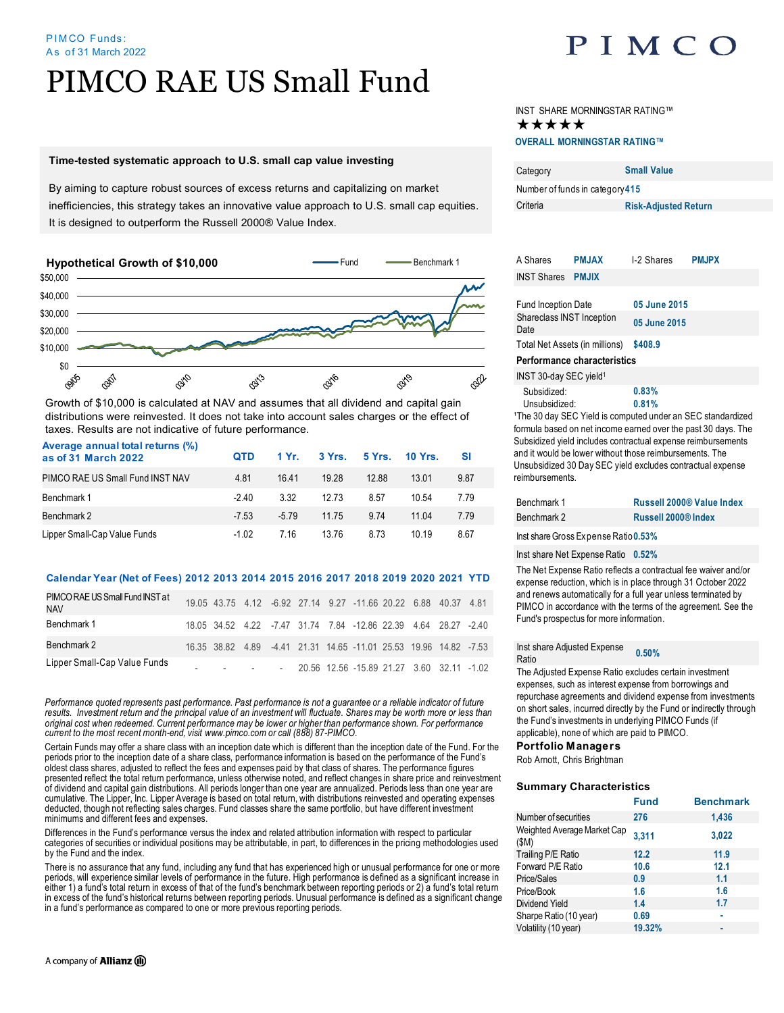#### PIM CO Funds: As of 31 March 2022

# PIMCO RAE US Small Fund

### **Time-tested systematic approach to U.S. small cap value investing**

By aiming to capture robust sources of excess returns and capitalizing on market inefficiencies, this strategy takes an innovative value approach to U.S. small cap equities. It is designed to outperform the Russell 2000® Value Index.



Growth of \$10,000 is calculated at NAV and assumes that all dividend and capital gain distributions were reinvested. It does not take into account sales charges or the effect of taxes. Results are not indicative of future performance.

| Average annual total returns (%)<br>as of 31 March 2022 | <b>QTD</b> | 1 Yr.  | 3Yrs. | 5 Yrs. | <b>10 Yrs.</b> | SI   |
|---------------------------------------------------------|------------|--------|-------|--------|----------------|------|
| PIMCO RAE US Small Fund INST NAV                        | 4.81       | 1641   | 19 28 | 1288   | 13.01          | 9.87 |
| Benchmark 1                                             | -240       | 3.32   | 12 73 | 8.57   | 10.54          | 7.79 |
| Benchmark 2                                             | $-7.53$    | $-579$ | 11.75 | 9.74   | 11 04          | 7.79 |
| Lipper Small-Cap Value Funds                            | $-1.02$    | 7 16   | 13.76 | 8.73   | 10 19          | 8.67 |

### **Calendar Year (Net of Fees) 2012 2013 2014 2015 2016 2017 2018 2019 2020 2021 YTD**

| PIMCO RAE US Small Fund INST at<br><b>NAV</b> |  |  |  | 19.05 43.75 4.12 -6.92 27.14 9.27 -11.66 20.22 6.88 40.37 4.81    |  |  |
|-----------------------------------------------|--|--|--|-------------------------------------------------------------------|--|--|
| Benchmark 1                                   |  |  |  | 18.05 34.52 4.22 -7.47 31.74 7.84 -12.86 22.39 4.64 28.27 -2.40   |  |  |
| Benchmark 2                                   |  |  |  | 16.35 38.82 4.89 -4.41 21.31 14.65 -11.01 25.53 19.96 14.82 -7.53 |  |  |
| Lipper Small-Cap Value Funds                  |  |  |  | $-20.56$ 12.56 -15.89 21.27 3.60 32.11 -1.02                      |  |  |

*Performance quoted represents past performance. Past performance is not a guarantee or a reliable indicator of future*  results. Investment return and the principal value of an investment will fluctuate. Shares may be worth more or less than original cost when redeemed. Current performance may be lower or higher than performance shown. For performance<br>current to the most recent month-end, visit www.pimco.com or call (888) 87-PIMCO.

Certain Funds may offer a share class with an inception date which is different than the inception date of the Fund. For the periods prior to the inception date of a share class, performance information is based on the performance of the Fund's oldest class shares, adjusted to reflect the fees and expenses paid by that class of shares. The performance figures presented reflect the total return performance, unless otherwise noted, and reflect changes in share price and reinvestment<br>of dividend and capital gain distributions. All periods longer than one year are annualized. Perio cumulative. The Lipper, Inc. Lipper Average is based on total return, with distributions reinvested and operating expenses deducted, though not reflecting sales charges. Fund classes share the same portfolio, but have different investment minimums and different fees and expenses.

Differences in the Fund's performance versus the index and related attribution information with respect to particular categories of securities or individual positions may be attributable, in part, to differences in the pricing methodologies used by the Fund and the index.

There is no assurance that any fund, including any fund that has experienced high or unusual performance for one or more periods, will experience similar levels of performance in the future. High performance is defined as a significant increase in either 1) a fund's total return in excess of that of the fund's benchmark between reporting periods or 2) a fund's total return in excess of the fund's historical returns between reporting periods. Unusual performance is defined as a significant change in a fund's performance as compared to one or more previous reporting periods.

## PIMCO

INST SHARE MORNINGSTAR RATING™ ★★★★★ **OVERALL MORNINGSTAR RATING™**

| Category                        | <b>Small Value</b>          |  |  |  |
|---------------------------------|-----------------------------|--|--|--|
| Number of funds in category 415 |                             |  |  |  |
| Criteria                        | <b>Risk-Adjusted Return</b> |  |  |  |

| A Shares                                                                | <b>PMJAX</b>                | <b>L2 Shares</b> | <b>PMJPX</b> |  |
|-------------------------------------------------------------------------|-----------------------------|------------------|--------------|--|
| <b>INST Shares</b>                                                      | <b>PMJIX</b>                |                  |              |  |
|                                                                         |                             |                  |              |  |
| <b>Fund Inception Date</b>                                              |                             | 05 June 2015     |              |  |
| Shareclass INST Inception<br>Date                                       |                             | 05 June 2015     |              |  |
| Total Net Assets (in millions)                                          |                             | \$408.9          |              |  |
|                                                                         | Performance characteristics |                  |              |  |
| INST 30-day SEC yield <sup>1</sup>                                      |                             |                  |              |  |
| Subsidized:                                                             |                             | 0.83%            |              |  |
| Unsubsidized:                                                           |                             | 0.81%            |              |  |
| <sup>1</sup> The 30 day SEC Yield is computed under an SEC standardized |                             |                  |              |  |

<sup>1</sup>The 30 day SEC Yield is computed under an SEC standardized formula based on net income earned over the past 30 days. The Subsidized yield includes contractual expense reimbursements and it would be lower without those reimbursements. The Unsubsidized 30 Day SEC yield excludes contractual expense reimbursements.

| Benchmark 1 | <b>Russell 2000® Value Index</b> |
|-------------|----------------------------------|
| Benchmark 2 | <b>Russell 2000® Index</b>       |

Inst share Gross Expense Ratio**0.53%** 

Inst share Net Expense Ratio **0.52%** 

The Net Expense Ratio reflects a contractual fee waiver and/or expense reduction, which is in place through 31 October 2022 and renews automatically for a full year unless terminated by PIMCO in accordance with the terms of the agreement. See the Fund's prospectus for more information.

### Inst share Adjusted Expense Ratio **0.50%**

The Adjusted Expense Ratio excludes certain investment expenses, such as interest expense from borrowings and repurchase agreements and dividend expense from investments on short sales, incurred directly by the Fund or indirectly through the Fund's investments in underlying PIMCO Funds (if applicable), none of which are paid to PIMCO.

### **Portfolio Managers**

Rob Arnott, Chris Brightman

### **Summary Characteristics**

| <b>Fund</b> | <b>Benchmark</b> |
|-------------|------------------|
| 276         | 1,436            |
| 3,311       | 3,022            |
| 12.2        | 11.9             |
| 10.6        | 12.1             |
| 0.9         | 1.1              |
| 1.6         | 1.6              |
| 1.4         | 1.7              |
| 0.69        | ٠                |
| 19.32%      | ۰                |
|             |                  |